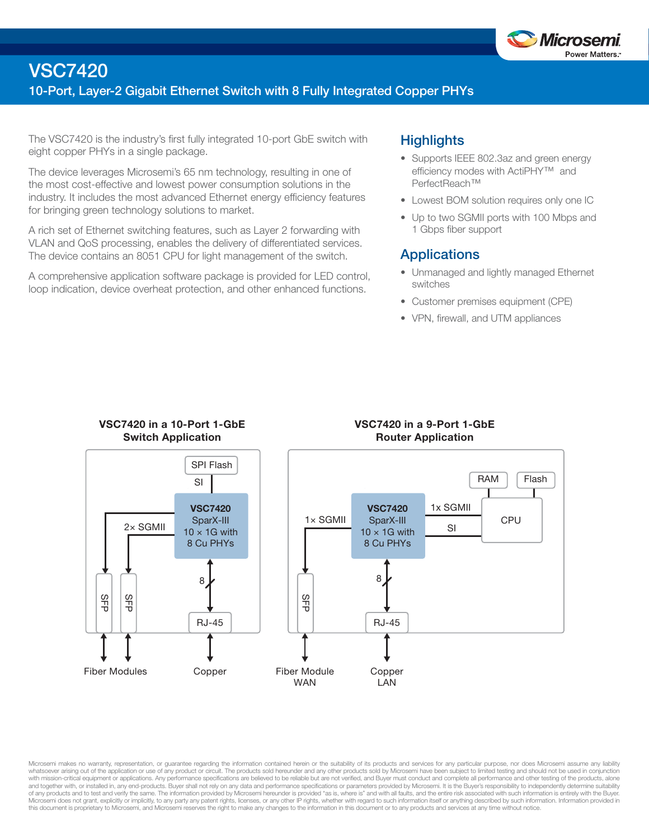

## VSC7420

### 10-Port, Layer-2 Gigabit Ethernet Switch with 8 Fully Integrated Copper PHYs

The VSC7420 is the industry's first fully integrated 10-port GbE switch with eight copper PHYs in a single package.

The device leverages Microsemi's 65 nm technology, resulting in one of the most cost-effective and lowest power consumption solutions in the industry. It includes the most advanced Ethernet energy efficiency features for bringing green technology solutions to market.

A rich set of Ethernet switching features, such as Layer 2 forwarding with VLAN and QoS processing, enables the delivery of differentiated services. The device contains an 8051 CPU for light management of the switch.

A comprehensive application software package is provided for LED control, loop indication, device overheat protection, and other enhanced functions.

## **Highlights**

- Supports IEEE 802.3az and green energy efficiency modes with ActiPHY™ and PerfectReach™
- Lowest BOM solution requires only one IC
- Up to two SGMII ports with 100 Mbps and 1 Gbps fiber support

### **Applications**

- Unmanaged and lightly managed Ethernet switches
- Customer premises equipment (CPE)
- VPN, firewall, and UTM appliances



Microsemi makes no warranty, representation, or guarantee regarding the information contained herein or the suitability of its products and services for any particular purpose, nor does Microsemi assume any liability whatsoever arising out of the application or use of any product or circuit. The products sold hereunder and any other products sold by Microsemi have been subject to limited testing and should not be used in conjunction with mission-critical equipment or applications. Any performance specifications are believed to be reliable but are not verified, and Buyer must conduct and complete all performance and other testing of the products, alone of any products and to test and verify the same. The information provided by Microsemi hereunder is provided "as is, where is" and with all faults, and the entire risk associated with such information is entirely with the Microsemi does not grant, explicitly or implicitly, to any party any patent rights, licenses, or any other IP rights, whether with regard to such information itself or anything described by such information. Information pr this document is proprietary to Microsemi, and Microsemi reserves the right to make any changes to the information in this document or to any products and services at any time without notice.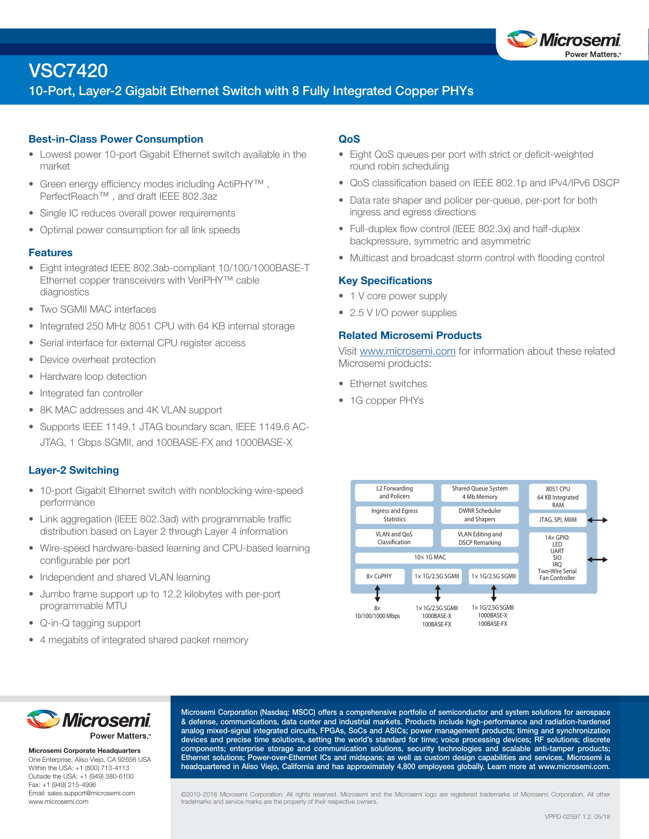

## VSC7420

## 10-Port, Layer-2 Gigabit Ethernet Switch with 8 Fully Integrated Copper PHYs

#### Best-in-Class Power Consumption

- Lowest power 10-port Gigabit Ethernet switch available in the market
- Green energy efficiency modes including ActiPHY™ , PerfectReach<sup>™</sup>, and draft IEEE 802.3az
- Single IC reduces overall power requirements
- Optimal power consumption for all link speeds

#### Features

- Eight integrated IEEE 802.3ab-compliant 10/100/1000BASE-T Ethernet copper transceivers with VeriPHY™ cable diagnostics
- Two SGMII MAC interfaces
- Integrated 250 MHz 8051 CPU with 64 KB internal storage
- Serial interface for external CPU register access
- Device overheat protection
- Hardware loop detection
- Integrated fan controller
- 8K MAC addresses and 4K VLAN support
- Supports IEEE 1149.1 JTAG boundary scan, IEEE 1149.6 AC-JTAG, 1 Gbps SGMII, and 100BASE-FX and 1000BASE-X

#### Layer-2 Switching

- 10-port Gigabit Ethernet switch with nonblocking wire-speed performance
- Link aggregation (IEEE 802.3ad) with programmable traffic distribution based on Layer 2 through Layer 4 information
- Wire-speed hardware-based learning and CPU-based learning configurable per port
- Independent and shared VLAN learning
- Jumbo frame support up to 12.2 kilobytes with per-port programmable MTU
- Q-in-Q tagging support
- 4 megabits of integrated shared packet memory

#### QoS

- Eight QoS queues per port with strict or deficit-weighted round robin scheduling
- QoS classification based on IEEE 802.1p and IPv4/IPv6 DSCP
- Data rate shaper and policer per-queue, per-port for both ingress and egress directions
- Full-duplex flow control (IEEE 802.3x) and half-duplex backpressure, symmetric and asymmetric
- Multicast and broadcast storm control with flooding control

#### Key Specifications

- 1 V core power supply
- 2.5 V I/O power supplies

#### Related Microsemi Products

Visit www.microsemi.com for information about these related Microsemi products:

- Ethernet switches
- 1G copper PHYs





Microsemi Corporate Headquarters One Enterprise, Aliso Viejo, CA 92656 USA Within the USA: +1 (800) 713-4113 Outside the USA: +1 (949) 380-6100 Fax: +1 (949) 215-4996 Email: sales.support@microsemi.com www.microsemi.com

Microsemi Corporation (Nasdaq: MSCC) offers a comprehensive portfolio of semiconductor and system solutions for aerospace & defense, communications, data center and industrial markets. Products include high-performance and radiation-hardened analog mixed-signal integrated circuits, FPGAs, SoCs and ASICs; power management products; timing and synchronization devices and precise time solutions, setting the world's standard for time; voice processing devices; RF solutions; discrete components; enterprise storage and communication solutions, security technologies and scalable anti-tamper products; Ethernet solutions; Power-over-Ethernet ICs and midspans; as well as custom design capabilities and services. Microsemi is headquartered in Aliso Viejo, California and has approximately 4,800 employees globally. Learn more at www.microsemi.com.

©2010–2018 Microsemi Corporation. All rights reserved. Microsemi and the Microsemi logo are registered trademarks of Microsemi Corporation. All other trademarks and service marks are the property of their respective owners.